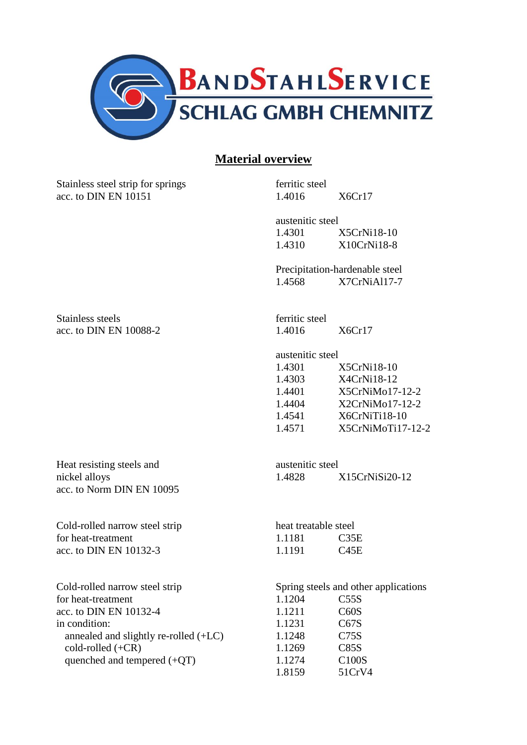

## **Material overview**

Stainless steel strip for springs ferritic steel acc. to DIN EN 10151 1.4016 X6Cr17

austenitic steel 1.4301 X5CrNi18-10 1.4310 X10CrNi18-8

Precipitation-hardenable steel 1.4568 X7CrNiAl17-7

Stainless steels **ferritic** steel acc. to DIN EN 10088-2 1.4016 X6Cr17

austenitic steel

| 1.4301 | $X5CrNi18-10$     |
|--------|-------------------|
| 1.4303 | X4CrNi18-12       |
| 1.4401 | X5CrNiMo17-12-2   |
| 1.4404 | $X2CrNiMo17-12-2$ |
| 1.4541 | X6CrNiTi18-10     |
| 1.4571 | X5CrNiMoTi17-12-2 |
|        |                   |

Heat resisting steels and austenitic steel acc. to Norm DIN EN 10095

Cold-rolled narrow steel strip for heat-treatment acc. to DIN EN 10132-3.

Cold-rolled narrow steel strip Spring steels and other applications for heat-treatment 1.1204 C55S acc. to DIN EN 10132-4 1.1211 C60S in condition: 1.1231 C67S annealed and slightly re-rolled  $(+LC)$  1.1248 C75S  $\text{cold-rolled } (+\text{CR})$  1.1269 C85S quenched and tempered (+QT) 1.1274 C100S

nickel alloys 1.4828 X15CrNiSi20-12

| heat treatable steel |             |
|----------------------|-------------|
| 1.1181               | C35E        |
| 1.1191               | <b>C45E</b> |

1.8159 51CrV4